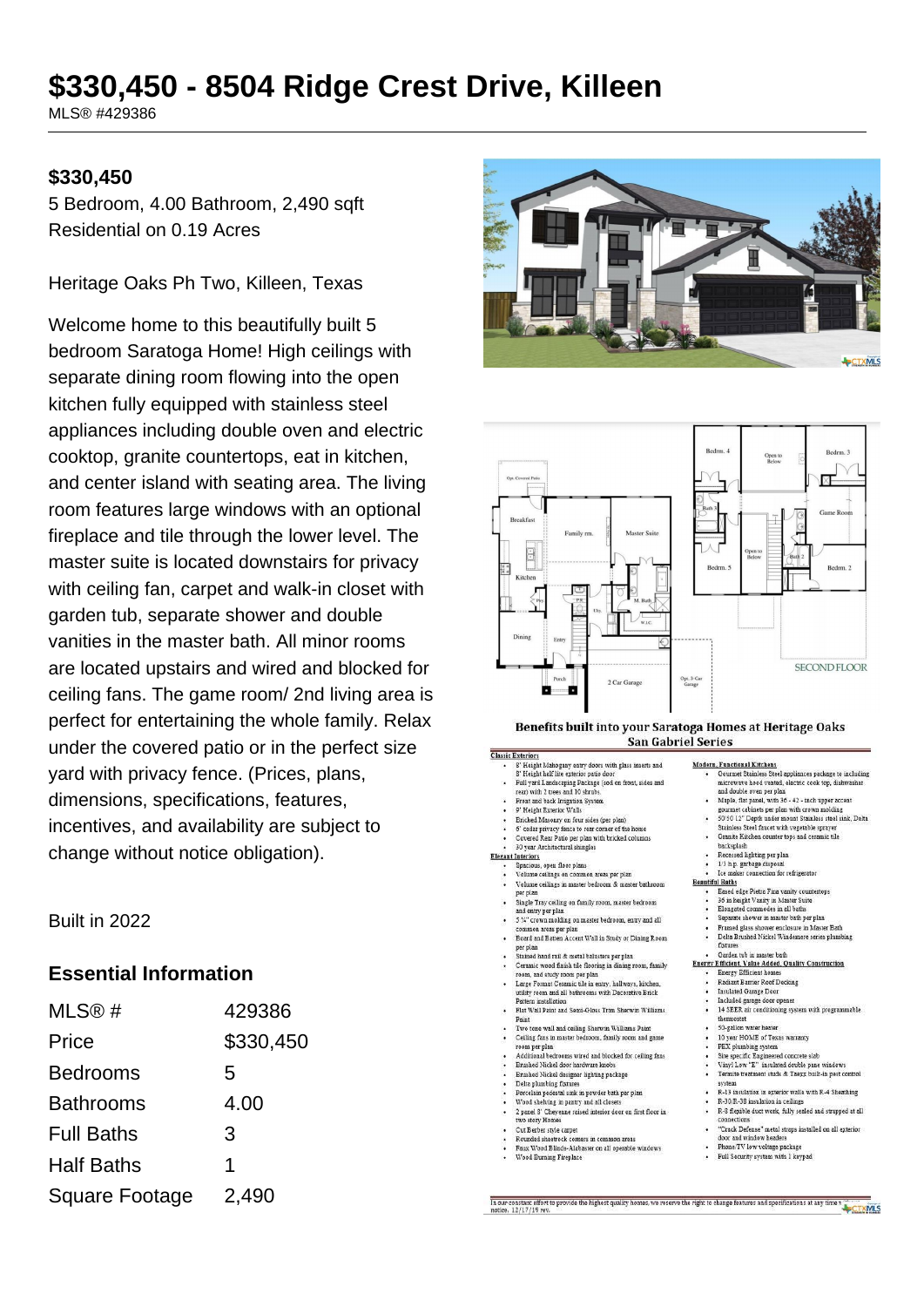# \$330,450 - 8504 Ridge Crest Drive, Killeen

MLS® #429386

#### \$330,450

5 Bedroom, 4.00 Bathroom, 2,490 sqft Residential on 0.19 Acres

Heritage Oaks Ph Two, Killeen, Texas

Welcome home to this beautifully built 5 bedroom Saratoga Home! High ceilings with separate dining room flowing into the open kitchen fully equipped with stainless steel appliances including double oven and electric cooktop, granite countertops, eat in kitchen, and center island with seating area. The living room features large windows with an optional fireplace and tile through the lower level. The master suite is located downstairs for privacy with ceiling fan, carpet and walk-in closet with garden tub, separate shower and double vanities in the master bath. All minor rooms are located upstairs and wired and blocked for ceiling fans. The game room/2nd living area is perfect for entertaining the whole family. Relax under the covered patio or in the perfect size vard with privacy fence. (Prices, plans, dimensions, specifications, features, incentives, and availability are subject to change without notice obligation).

Built in 2022

#### **Essential Information**

| MLS@#                 | 429386    |
|-----------------------|-----------|
| Price                 | \$330,450 |
| <b>Bedrooms</b>       | 5         |
| <b>Bathrooms</b>      | 4.00      |
| <b>Full Baths</b>     | 3         |
| <b>Half Baths</b>     | 1         |
| <b>Square Footage</b> | 2,490     |





#### Benefits built into your Saratoga Homes at Heritage Oaks San Gabriel Series *Classic Exterior*

| ٠         | 8' Height Mahogany entry doors with glass inserts and                                       | Modern.         |
|-----------|---------------------------------------------------------------------------------------------|-----------------|
|           | 8' Height half lite exterior patio door                                                     |                 |
| ٠         | Full yard Landscaping Package (sod on front, sides and<br>rear) with 2 trees and 10 shrubs. |                 |
| ٠         | Front and back Irrigation System                                                            |                 |
| ٠         | 9' Height Exterior Walls                                                                    |                 |
| ٠         | Bricked Masonry on four sides (per plan)                                                    |                 |
| ٠         | 6' cedar privacy fence to rear corner of the home                                           |                 |
| ٠         | Covered Rear Patio per plan with bricked columns                                            |                 |
| ۰         | 30 year Architectural shingles                                                              |                 |
|           | <b>Elegant Interiors</b>                                                                    |                 |
|           | Spacious, open floor plans                                                                  |                 |
|           | Volume ceilings on common areas per plan                                                    |                 |
|           | Volume ceilings in master bedroom & master bathroom<br>per plan                             | <b>Beautifu</b> |
| $\cdot$   | Single Tray ceiling on family room, master bedroom<br>and entry per plan                    |                 |
| ٠         | 5 %" crown molding on master bedroom, entry and all<br>common areas per plan                |                 |
| ٠         | Board and Batten Accent Wall in Study or Dining Room<br>per plan                            |                 |
| $\bullet$ | Stained hand rail & metal balusters per plan                                                |                 |
| $\bullet$ | Ceramic wood finish tile flooring in dining room, family                                    | <b>Energy B</b> |
|           | room, and study room per plan                                                               |                 |
| ٠         | Large Format Ceramic tile in entry, hallways, kitchen,                                      |                 |
|           | utility room and all bathrooms with Decorative Brick                                        |                 |
|           | Pattern installation                                                                        |                 |
| ٠         | Flat Wall Paint and Semi-Gloss Trim Sherwin Williams<br>Paint                               |                 |
|           | Two tone wall and ceiling Sherwin Williams Paint                                            |                 |
| $\bullet$ | Ceiling fans in master bedroom, family room and game<br>room per plan                       |                 |
|           | Additional bedrooms wired and blocked for ceiling fans                                      |                 |
| ٠         | Brushed Nickel door hardware knobs                                                          |                 |
|           | Brushed Nickel designer lighting package                                                    |                 |
| ٠         | Delta plumbing fixtures                                                                     |                 |
| ٠         | Porcelain pedestal sink in powder bath per plan                                             |                 |
| $\cdot$   | Wood shelving in pantry and all closets                                                     |                 |
| $\bullet$ | 2 panel 8' Chevenne raised interior door on first floor in<br>two story Homes               |                 |
| ٠         | Cut Berber style carpet                                                                     |                 |
|           | Rounded sheetrock corners in common areas                                                   |                 |
|           | Four Wood Dlinds, Abbreview on all amerable privileges.                                     |                 |

- Wood Burning Fireplace
- 

**Functional Kitchens** <u>increase renders.</u><br>jurmet Stainless Steel appliances package to including. microwaye hood vented, electric cook top, dishwasher

- and double oven per plan and double oven per pian<br>Manla flat nanal with 36 - 42 - inch unner accent
- 
- 
- Maple, flat panel, with  $36 42$  inch upper accent<br>gournet cabinets per plan with crown molding<br> $50.92$  and the proper with crown molding<br> $50.92$  and the mount Stanless steel sink, Delta<br>Stanless Steel functor with vege
- -
	-
- I Baths<br>Eased edge Pietra Fina vanity countertops
- 
- .<br>36 in height Vanity in Master Suite<br>Elongated commodes in all baths Constate chamber's master hath not plan
- 
- Separate shower in master cam per pian<br>Framed glass shower enclosure in Master Bath<br>Delta Brushed Nickel Windemere series plumbing<br>fixtures
- 

# fixtures<br>Garden tub in master bath<br>Efficient, Value Added, Quality Construction<br>Energy Efficient homes<br>Radiant Barrier Roof Decking

- 
- **Insulated Garage Door**
- ncluded garage door opener
- 14 SEER air conditioning system with programmable
- thermostat<br>50-gallon water heater<br>10 year HOME of Texas warranty
- 
- 
- PEX plumbing system<br>Site specific Engineered concrete slab<br>Vinyl Low "E" insulated double pane windows Termite treatment studs & Taexx built-in pest control
- system<br>R-13 insulation in exterior walls with R-4 Sheathing.
- 
- R-13 insulation in exterior wans with R-4 Sheathing<br>R-30/R-38 insulation in ceilings<br>R-8 flexible duct work, fully sealed and strapped at all
- 'Crack Defense" metal straps installed on all exterior
- ioor and window headers<br>Phone/TV low voltage package
- · Full Security system with 1 keypad
- our constant effort to provide the highest quality homes, we reserve the right to change features and specifications at any time<br>tice: 12/17/19 rev. CTXMLS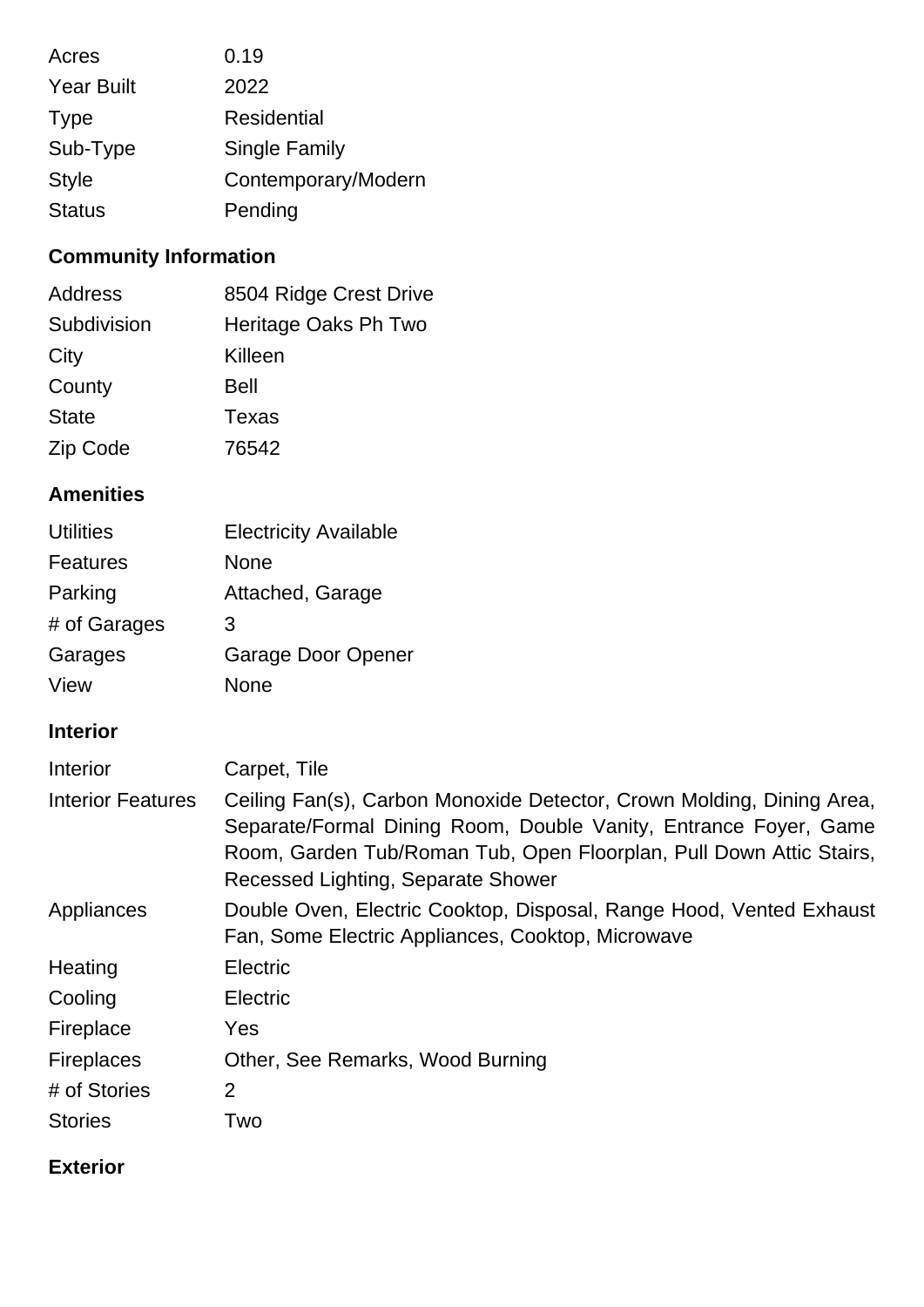| Acres             | 0.19                 |
|-------------------|----------------------|
| <b>Year Built</b> | 2022                 |
| <b>Type</b>       | <b>Residential</b>   |
| Sub-Type          | <b>Single Family</b> |
| <b>Style</b>      | Contemporary/Modern  |
| <b>Status</b>     | Pending              |

# **Community Information**

| Address      | 8504 Ridge Crest Drive |
|--------------|------------------------|
| Subdivision  | Heritage Oaks Ph Two   |
| City         | Killeen                |
| County       | <b>Bell</b>            |
| <b>State</b> | Texas                  |
| Zip Code     | 76542                  |

# **Amenities**

| <b>Utilities</b> | <b>Electricity Available</b> |
|------------------|------------------------------|
| Features         | None                         |
| Parking          | Attached, Garage             |
| # of Garages     | 3                            |
| Garages          | Garage Door Opener           |
| View             | None                         |

# **Interior**

| Interior                 | Carpet, Tile                                                                                                                                                                                                                                           |
|--------------------------|--------------------------------------------------------------------------------------------------------------------------------------------------------------------------------------------------------------------------------------------------------|
| <b>Interior Features</b> | Ceiling Fan(s), Carbon Monoxide Detector, Crown Molding, Dining Area,<br>Separate/Formal Dining Room, Double Vanity, Entrance Foyer, Game<br>Room, Garden Tub/Roman Tub, Open Floorplan, Pull Down Attic Stairs,<br>Recessed Lighting, Separate Shower |
| Appliances               | Double Oven, Electric Cooktop, Disposal, Range Hood, Vented Exhaust<br>Fan, Some Electric Appliances, Cooktop, Microwave                                                                                                                               |
| Heating                  | Electric                                                                                                                                                                                                                                               |
| Cooling                  | Electric                                                                                                                                                                                                                                               |
| Fireplace                | <b>Yes</b>                                                                                                                                                                                                                                             |
| <b>Fireplaces</b>        | Other, See Remarks, Wood Burning                                                                                                                                                                                                                       |
| # of Stories             | $\overline{2}$                                                                                                                                                                                                                                         |
| <b>Stories</b>           | Two                                                                                                                                                                                                                                                    |

# **Exterior**